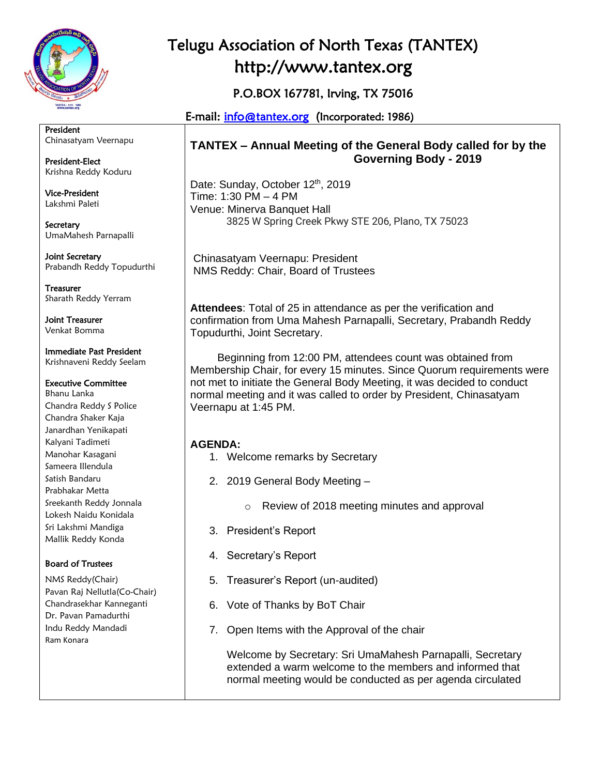

President Chinasatyam Veernapu

President-Elect Krishna Reddy Koduru

Vice-President Lakshmi Paleti

**Secretary** UmaMahesh Parnapalli

Joint Secretary Prabandh Reddy Topudurthi

Treasurer Sharath Reddy Yerram

Joint Treasurer Venkat Bomma

Immediate Past President Krishnaveni Reddy Seelam

#### Executive Committee

Bhanu Lanka Chandra Reddy S Police Chandra Shaker Kaja Janardhan Yenikapati Kalyani Tadimeti Manohar Kasagani Sameera Illendula Satish Bandaru Prabhakar Metta Sreekanth Reddy Jonnala Lokesh Naidu Konidala Sri Lakshmi Mandiga Mallik Reddy Konda

#### Board of Trustees

NMS Reddy(Chair) Pavan Raj Nellutla(Co-Chair) Chandrasekhar Kanneganti Dr. Pavan Pamadurthi Indu Reddy Mandadi Ram Konara

# Telugu Association of North Texas (TANTEX) http://www.tantex.org

P.O.BOX 167781, Irving, TX 75016

E-mail: [info@tantex.org](mailto:info@tantex.org) (Incorporated: 1986)

## **TANTEX – Annual Meeting of the General Body called for by the Governing Body - 2019**

Date: Sunday, October 12<sup>th</sup>, 2019 Time: 1:30 PM – 4 PM Venue: Minerva Banquet Hall 3825 W Spring Creek Pkwy STE 206, Plano, TX 75023

Chinasatyam Veernapu: President NMS Reddy: Chair, Board of Trustees

**Attendees**: Total of 25 in attendance as per the verification and confirmation from Uma Mahesh Parnapalli, Secretary, Prabandh Reddy Topudurthi, Joint Secretary.

 Beginning from 12:00 PM, attendees count was obtained from Membership Chair, for every 15 minutes. Since Quorum requirements were not met to initiate the General Body Meeting, it was decided to conduct normal meeting and it was called to order by President, Chinasatyam Veernapu at 1:45 PM.

## **AGENDA:**

- 1. Welcome remarks by Secretary
- 2. 2019 General Body Meeting
	- o Review of 2018 meeting minutes and approval
- 3. President's Report
- 4. Secretary's Report
- 5. Treasurer's Report (un-audited)
- 6. Vote of Thanks by BoT Chair
- 7. Open Items with the Approval of the chair

Welcome by Secretary: Sri UmaMahesh Parnapalli, Secretary extended a warm welcome to the members and informed that normal meeting would be conducted as per agenda circulated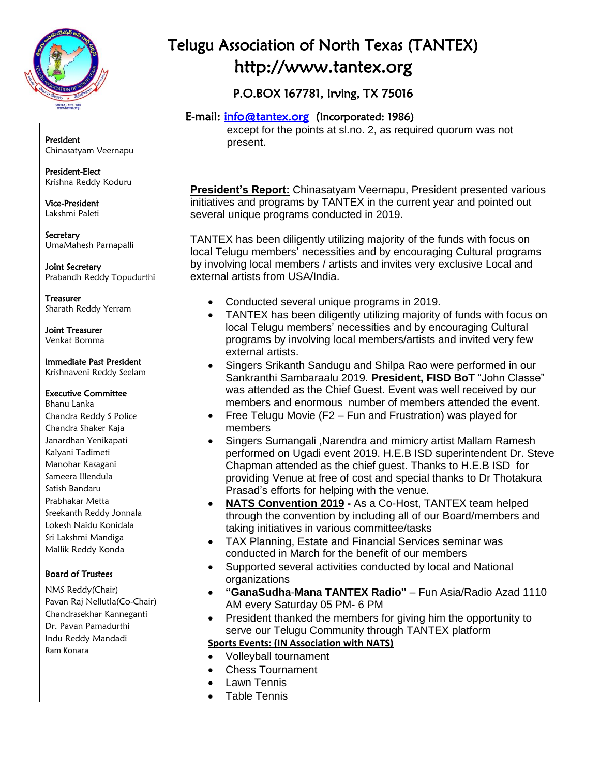

# Telugu Association of North Texas (TANTEX) http://www.tantex.org

## P.O.BOX 167781, Irving, TX 75016

## E-mail: [info@tantex.org](mailto:info@tantex.org) (Incorporated: 1986)

except for the points at sl.no. 2, as required quorum was not present.

**President's Report:** Chinasatyam Veernapu, President presented various initiatives and programs by TANTEX in the current year and pointed out several unique programs conducted in 2019.

TANTEX has been diligently utilizing majority of the funds with focus on local Telugu members' necessities and by encouraging Cultural programs by involving local members / artists and invites very exclusive Local and external artists from USA/India.

- Conducted several unique programs in 2019.
- TANTEX has been diligently utilizing majority of funds with focus on local Telugu members' necessities and by encouraging Cultural programs by involving local members/artists and invited very few external artists.
- Singers Srikanth Sandugu and Shilpa Rao were performed in our Sankranthi Sambaraalu 2019. **President, FISD BoT** "John Classe" was attended as the Chief Guest. Event was well received by our members and enormous number of members attended the event.
- Free Telugu Movie (F2 Fun and Frustration) was played for members
- Singers Sumangali ,Narendra and mimicry artist Mallam Ramesh performed on Ugadi event 2019. H.E.B ISD superintendent Dr. Steve Chapman attended as the chief guest. Thanks to H.E.B ISD for providing Venue at free of cost and special thanks to Dr Thotakura Prasad's efforts for helping with the venue.
- **NATS Convention 2019 -** As a Co-Host, TANTEX team helped through the convention by including all of our Board/members and taking initiatives in various committee/tasks
- TAX Planning, Estate and Financial Services seminar was conducted in March for the benefit of our members
- Supported several activities conducted by local and National organizations
- **"GanaSudha**-**Mana TANTEX Radio"** Fun Asia/Radio Azad 1110 AM every Saturday 05 PM- 6 PM
- President thanked the members for giving him the opportunity to serve our Telugu Community through TANTEX platform
- **Sports Events: (IN Association with NATS)**
- Volleyball tournament
- Chess Tournament
- Lawn Tennis
- Table Tennis

President Chinasatyam Veernapu

President-Elect Krishna Reddy Koduru

Vice-President Lakshmi Paleti

**Secretary** UmaMahesh Parnapalli

Joint Secretary Prabandh Reddy Topudurthi

Treasurer Sharath Reddy Yerram

Joint Treasurer Venkat Bomma

#### Immediate Past President Krishnaveni Reddy Seelam

#### Executive Committee

Bhanu Lanka Chandra Reddy S Police Chandra Shaker Kaja Janardhan Yenikapati Kalyani Tadimeti Manohar Kasagani Sameera Illendula Satish Bandaru Prabhakar Metta Sreekanth Reddy Jonnala Lokesh Naidu Konidala Sri Lakshmi Mandiga Mallik Reddy Konda

## Board of Trustees

NMS Reddy(Chair) Pavan Raj Nellutla(Co-Chair) Chandrasekhar Kanneganti Dr. Pavan Pamadurthi Indu Reddy Mandadi Ram Konara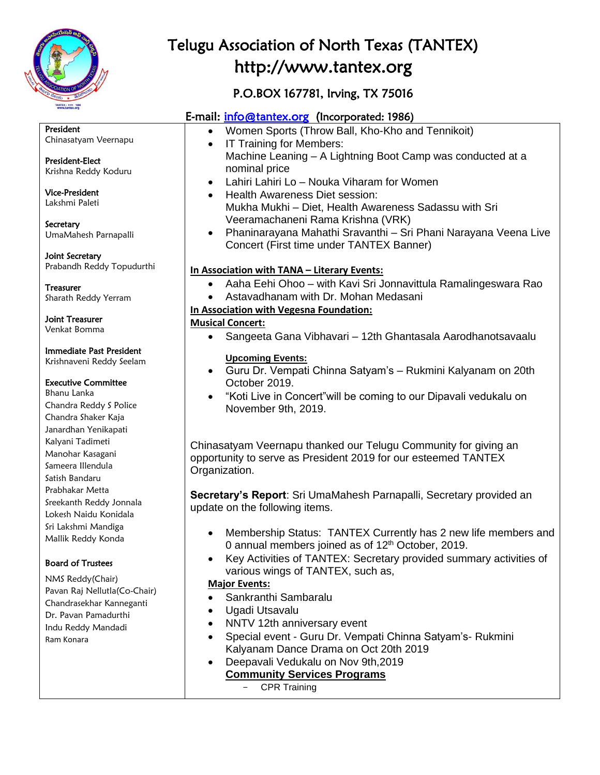

President

# Telugu Association of North Texas (TANTEX) http://www.tantex.org

## P.O.BOX 167781, Irving, TX 75016

## E-mail: [info@tantex.org](mailto:info@tantex.org) (Incorporated: 1986)

- Women Sports (Throw Ball, Kho-Kho and Tennikoit)
- IT Training for Members: Machine Leaning – A Lightning Boot Camp was conducted at a nominal price
- Lahiri Lahiri Lo Nouka Viharam for Women
- Health Awareness Diet session: Mukha Mukhi – Diet, Health Awareness Sadassu with Sri Veeramachaneni Rama Krishna (VRK)
- Phaninarayana Mahathi Sravanthi Sri Phani Narayana Veena Live Concert (First time under TANTEX Banner)

#### **In Association with TANA – Literary Events:**

- Aaha Eehi Ohoo with Kavi Sri Jonnavittula Ramalingeswara Rao
- Astavadhanam with Dr. Mohan Medasani

### **In Association with Vegesna Foundation:**

#### **Musical Concert:**

• Sangeeta Gana Vibhavari – 12th Ghantasala Aarodhanotsavaalu

#### **Upcoming Events:**

- Guru Dr. Vempati Chinna Satyam's Rukmini Kalyanam on 20th October 2019.
- "Koti Live in Concert"will be coming to our Dipavali vedukalu on November 9th, 2019.

Chinasatyam Veernapu thanked our Telugu Community for giving an opportunity to serve as President 2019 for our esteemed TANTEX Organization.

**Secretary's Report**: Sri UmaMahesh Parnapalli, Secretary provided an update on the following items.

- Membership Status: TANTEX Currently has 2 new life members and 0 annual members joined as of 12<sup>th</sup> October, 2019.
- Key Activities of TANTEX: Secretary provided summary activities of various wings of TANTEX, such as,

#### **Major Events:**

- Sankranthi Sambaralu
- Ugadi Utsavalu
- NNTV 12th anniversary event
- Special event Guru Dr. Vempati Chinna Satyam's- Rukmini Kalyanam Dance Drama on Oct 20th 2019
- Deepavali Vedukalu on Nov 9th,2019 **Community Services Programs**
	- CPR Training

## President-Elect Krishna Reddy Koduru

Chinasatyam Veernapu

Vice-President Lakshmi Paleti

**Secretary** UmaMahesh Parnapalli

Joint Secretary Prabandh Reddy Topudurthi

Treasurer Sharath Reddy Yerram

Joint Treasurer Venkat Bomma

### Immediate Past President

Krishnaveni Reddy Seelam

#### Executive Committee

Bhanu Lanka Chandra Reddy S Police Chandra Shaker Kaja Janardhan Yenikapati Kalyani Tadimeti Manohar Kasagani Sameera Illendula Satish Bandaru Prabhakar Metta Sreekanth Reddy Jonnala Lokesh Naidu Konidala Sri Lakshmi Mandiga Mallik Reddy Konda

## Board of Trustees

NMS Reddy(Chair) Pavan Raj Nellutla(Co-Chair) Chandrasekhar Kanneganti Dr. Pavan Pamadurthi Indu Reddy Mandadi Ram Konara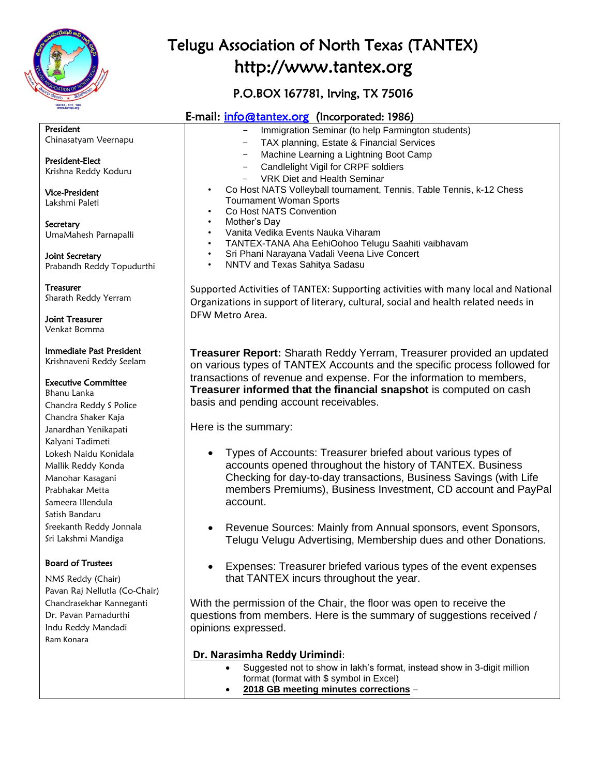

# Telugu Association of North Texas (TANTEX) http://www.tantex.org

## P.O.BOX 167781, Irving, TX 75016

## E-mail: [info@tantex.org](mailto:info@tantex.org) (Incorporated: 1986)

President Chinasatyam Veernapu

President-Elect Krishna Reddy Koduru

Vice-President Lakshmi Paleti

**Secretary** UmaMahesh Parnapalli

Joint Secretary Prabandh Reddy Topudurthi

Treasurer Sharath Reddy Yerram

Joint Treasurer Venkat Bomma

Immediate Past President Krishnaveni Reddy Seelam

#### Executive Committee

Bhanu Lanka Chandra Reddy S Police Chandra Shaker Kaja Janardhan Yenikapati Kalyani Tadimeti Lokesh Naidu Konidala Mallik Reddy Konda Manohar Kasagani Prabhakar Metta Sameera Illendula Satish Bandaru Sreekanth Reddy Jonnala Sri Lakshmi Mandiga

## Board of Trustees

NMS Reddy (Chair) Pavan Raj Nellutla (Co-Chair) Chandrasekhar Kanneganti Dr. Pavan Pamadurthi Indu Reddy Mandadi Ram Konara

|  |  | Immigration Seminar (to help Farmington students) |  |
|--|--|---------------------------------------------------|--|

- TAX planning, Estate & Financial Services
- Machine Learning a Lightning Boot Camp
- Candlelight Vigil for CRPF soldiers
- VRK Diet and Health Seminar
- Co Host NATS Volleyball tournament, Tennis, Table Tennis, k-12 Chess Tournament Woman Sports
- Co Host NATS Convention
- Mother's Day
- Vanita Vedika Events Nauka Viharam
- TANTEX-TANA Aha EehiOohoo Telugu Saahiti vaibhavam
- Sri Phani Narayana Vadali Veena Live Concert
- NNTV and Texas Sahitya Sadasu

Supported Activities of TANTEX: Supporting activities with many local and National Organizations in support of literary, cultural, social and health related needs in DFW Metro Area.

**Treasurer Report:** Sharath Reddy Yerram, Treasurer provided an updated on various types of TANTEX Accounts and the specific process followed for transactions of revenue and expense. For the information to members, **Treasurer informed that the financial snapshot** is computed on cash basis and pending account receivables.

Here is the summary:

- Types of Accounts: Treasurer briefed about various types of accounts opened throughout the history of TANTEX. Business Checking for day-to-day transactions, Business Savings (with Life members Premiums), Business Investment, CD account and PayPal account.
- Revenue Sources: Mainly from Annual sponsors, event Sponsors, Telugu Velugu Advertising, Membership dues and other Donations.
- Expenses: Treasurer briefed various types of the event expenses that TANTEX incurs throughout the year.

With the permission of the Chair, the floor was open to receive the questions from members. Here is the summary of suggestions received / opinions expressed.

#### **Dr. Narasimha Reddy Urimindi**:

- Suggested not to show in lakh's format, instead show in 3-digit million format (format with \$ symbol in Excel)
	- **2018 GB meeting minutes corrections** –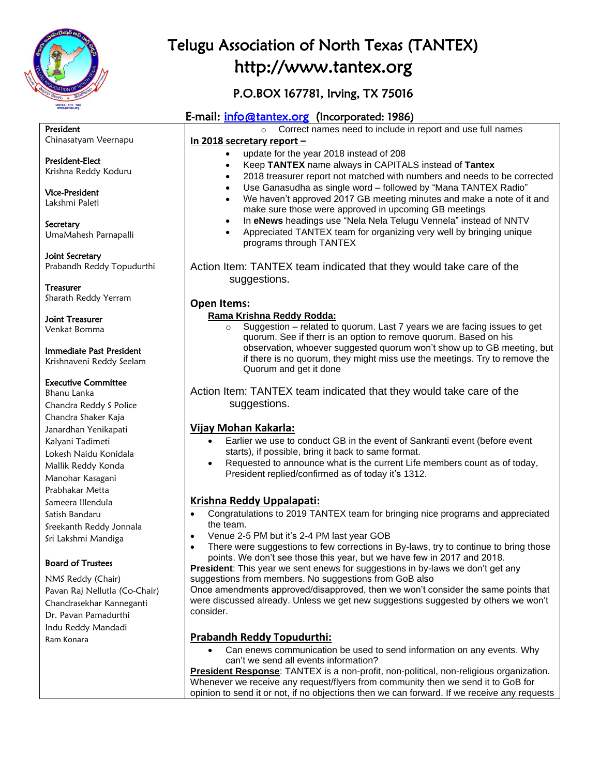

Chandrasekhar Kanneganti Dr. Pavan Pamadurthi Indu Reddy Mandadi

Ram Konara

# Telugu Association of North Texas (TANTEX) http://www.tantex.org

## P.O.BOX 167781, Irving, TX 75016

## E-mail: [info@tantex.org](mailto:info@tantex.org) (Incorporated: 1986)

| President                     | Correct names need to include in report and use full names<br>$\circ$                                                                                            |  |  |  |  |
|-------------------------------|------------------------------------------------------------------------------------------------------------------------------------------------------------------|--|--|--|--|
| Chinasatyam Veernapu          | In 2018 secretary report -                                                                                                                                       |  |  |  |  |
|                               | update for the year 2018 instead of 208<br>$\bullet$                                                                                                             |  |  |  |  |
| President-Elect               | Keep TANTEX name always in CAPITALS instead of Tantex<br>$\bullet$                                                                                               |  |  |  |  |
| Krishna Reddy Koduru          | 2018 treasurer report not matched with numbers and needs to be corrected                                                                                         |  |  |  |  |
| <b>Vice-President</b>         | Use Ganasudha as single word - followed by "Mana TANTEX Radio"<br>$\bullet$                                                                                      |  |  |  |  |
| Lakshmi Paleti                | We haven't approved 2017 GB meeting minutes and make a note of it and<br>$\bullet$                                                                               |  |  |  |  |
|                               | make sure those were approved in upcoming GB meetings                                                                                                            |  |  |  |  |
| Secretary                     | In eNews headings use "Nela Nela Telugu Vennela" instead of NNTV<br>$\bullet$                                                                                    |  |  |  |  |
| UmaMahesh Parnapalli          | Appreciated TANTEX team for organizing very well by bringing unique<br>programs through TANTEX                                                                   |  |  |  |  |
| Joint Secretary               |                                                                                                                                                                  |  |  |  |  |
| Prabandh Reddy Topudurthi     | Action Item: TANTEX team indicated that they would take care of the                                                                                              |  |  |  |  |
|                               | suggestions.                                                                                                                                                     |  |  |  |  |
| <b>Treasurer</b>              |                                                                                                                                                                  |  |  |  |  |
| Sharath Reddy Yerram          | <b>Open Items:</b>                                                                                                                                               |  |  |  |  |
|                               | Rama Krishna Reddy Rodda:                                                                                                                                        |  |  |  |  |
| <b>Joint Treasurer</b>        | Suggestion - related to quorum. Last 7 years we are facing issues to get                                                                                         |  |  |  |  |
| Venkat Bomma                  | quorum. See if therr is an option to remove quorum. Based on his                                                                                                 |  |  |  |  |
| Immediate Past President      | observation, whoever suggested quorum won't show up to GB meeting, but                                                                                           |  |  |  |  |
| Krishnaveni Reddy Seelam      | if there is no quorum, they might miss use the meetings. Try to remove the                                                                                       |  |  |  |  |
|                               | Quorum and get it done                                                                                                                                           |  |  |  |  |
| <b>Executive Committee</b>    |                                                                                                                                                                  |  |  |  |  |
| Bhanu Lanka                   | Action Item: TANTEX team indicated that they would take care of the                                                                                              |  |  |  |  |
| Chandra Reddy S Police        | suggestions.                                                                                                                                                     |  |  |  |  |
| Chandra Shaker Kaja           |                                                                                                                                                                  |  |  |  |  |
| Janardhan Yenikapati          | Vijay Mohan Kakarla:                                                                                                                                             |  |  |  |  |
| Kalyani Tadimeti              | Earlier we use to conduct GB in the event of Sankranti event (before event<br>$\bullet$                                                                          |  |  |  |  |
| Lokesh Naidu Konidala         | starts), if possible, bring it back to same format.                                                                                                              |  |  |  |  |
| Mallik Reddy Konda            | Requested to announce what is the current Life members count as of today,<br>President replied/confirmed as of today it's 1312.                                  |  |  |  |  |
| Manohar Kasagani              |                                                                                                                                                                  |  |  |  |  |
| Prabhakar Metta               |                                                                                                                                                                  |  |  |  |  |
| Sameera Illendula             | Krishna Reddy Uppalapati:                                                                                                                                        |  |  |  |  |
| Satish Bandaru                | Congratulations to 2019 TANTEX team for bringing nice programs and appreciated<br>$\bullet$                                                                      |  |  |  |  |
| Sreekanth Reddy Jonnala       | the team.                                                                                                                                                        |  |  |  |  |
| Sri Lakshmi Mandiga           | Venue 2-5 PM but it's 2-4 PM last year GOB<br>$\bullet$                                                                                                          |  |  |  |  |
|                               | There were suggestions to few corrections in By-laws, try to continue to bring those                                                                             |  |  |  |  |
| <b>Board of Trustees</b>      | points. We don't see those this year, but we have few in 2017 and 2018.<br><b>President:</b> This year we sent enews for suggestions in by-laws we don't get any |  |  |  |  |
| NMS Reddy (Chair)             | suggestions from members. No suggestions from GoB also                                                                                                           |  |  |  |  |
| Pavan Raj Nellutla (Co-Chair) | Once amendments approved/disapproved, then we won't consider the same points that                                                                                |  |  |  |  |

Once amendments approved/disapproved, then we won't consider the same points that were discussed already. Unless we get new suggestions suggested by others we won't consider.

#### **Prabandh Reddy Topudurthi:**

• Can enews communication be used to send information on any events. Why can't we send all events information?

**President Response**: TANTEX is a non-profit, non-political, non-religious organization. Whenever we receive any request/flyers from community then we send it to GoB for opinion to send it or not, if no objections then we can forward. If we receive any requests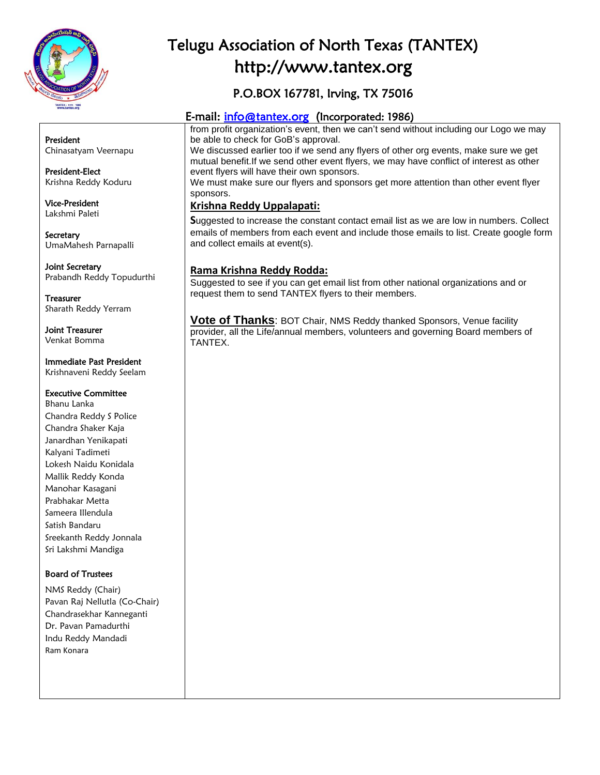

# Telugu Association of North Texas (TANTEX) http://www.tantex.org

## P.O.BOX 167781, Irving, TX 75016

## E-mail: [info@tantex.org](mailto:info@tantex.org) (Incorporated: 1986)

from profit organization's event, then we can't send without including our Logo we may be able to check for GoB's approval.

We discussed earlier too if we send any flyers of other org events, make sure we get mutual benefit.If we send other event flyers, we may have conflict of interest as other event flyers will have their own sponsors.

We must make sure our flyers and sponsors get more attention than other event flyer sponsors.

#### **Krishna Reddy Uppalapati:**

**S**uggested to increase the constant contact email list as we are low in numbers. Collect emails of members from each event and include those emails to list. Create google form and collect emails at event(s).

### **Rama Krishna Reddy Rodda:**

Suggested to see if you can get email list from other national organizations and or request them to send TANTEX flyers to their members.

**Vote of Thanks**: BOT Chair, NMS Reddy thanked Sponsors, Venue facility provider, all the Life/annual members, volunteers and governing Board members of TANTEX.

President Chinasatyam Veernapu

President-Elect Krishna Reddy Koduru

Vice-President Lakshmi Paleti

Secretary UmaMahesh Parnapalli

Joint Secretary Prabandh Reddy Topudurthi

Treasurer Sharath Reddy Yerram

Joint Treasurer Venkat Bomma

Immediate Past President Krishnaveni Reddy Seelam

#### Executive Committee

Bhanu Lanka Chandra Reddy S Police Chandra Shaker Kaja Janardhan Yenikapati Kalyani Tadimeti Lokesh Naidu Konidala Mallik Reddy Konda Manohar Kasagani Prabhakar Metta Sameera Illendula Satish Bandaru Sreekanth Reddy Jonnala Sri Lakshmi Mandiga

#### Board of Trustees

NMS Reddy (Chair) Pavan Raj Nellutla (Co-Chair) Chandrasekhar Kanneganti Dr. Pavan Pamadurthi Indu Reddy Mandadi Ram Konara